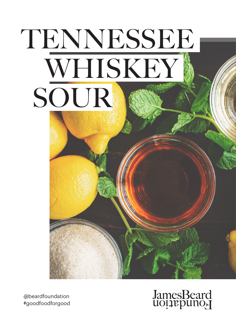# TENNESSEE WHISKEY SOUR

@beardfoundation #goodfoodforgood

## JamesBeard<br>uoțiepuno<sub>r</sub>